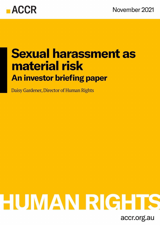

## **Sexual harassment as material risk An investor briefing paper**

Daisy Gardener, Director of Human Rights

# HUMAN RIGHTS

accr.org.au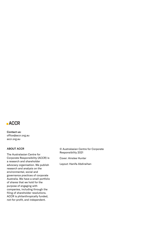

Contact us: office@accr.org.au accr.org.au

### ABOUT ACCR

The Australasian Centre for Corporate Responsibility (ACCR) is a research and shareholder advocacy organisation. We publish research and analysis on the environmental, social and governance practices of corporate Australia. We have a small portfolio of shares that we hold for the purpose of engaging with companies, including through the filing of shareholder resolutions. ACCR is philanthropically funded, not-for-profit, and independent.

© Australasian Centre for Corporate Responsibility 2021

Cover: Ainslee Hunter

Layout: Hanifa Abdiraihan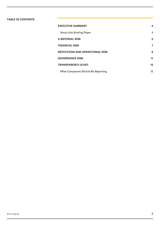### TABLE OF CONTENTS

| <b>EXECUTIVE SUMMARY</b>               | 4  |
|----------------------------------------|----|
| About this Briefing Paper              | 4  |
| A MATERIAL RISK                        | 5  |
| <b>FINANCIAL RISK</b>                  | 7  |
| <b>REPUTATION AND OPERATIONAL RISK</b> | 9  |
| <b>GOVERNANCE RISK</b>                 | 11 |
| <b>TRANSPARENCY IS KEY</b>             | 12 |
| What Companies Should Be Reporting     | 13 |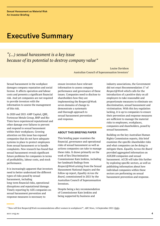### <span id="page-3-1"></span>Executive Summary

### *"(...) sexual harassment is a key issue because of its potential to destroy company value"*

Louise Davidson Australian Council of Superannuation Investors<sup>1</sup>

Sexual harassment in the workplace damages company reputation and social license. It affects operation and labour costs and presents a significant financial risk. And yet companies are not required to provide investors with the information to assess the management of this risk.

In 2020 and 2021 AMP Capital, QBE, Fortescue Metals Group, BHP and Rio Tinto have experienced reputational and other damage over failures to prevent and respond to sexual harassment within their workplaces. Growing attention on this issue has exposed companies that do not have adequate systems in place to protect employees from sexual harassment or to handle complaints. New research has found that sexual harassment reveals significant future problems for companies in terms of profitability, labour costs, and stock performance.

It is increasingly apparent that investors need to better understand the different types of risks posed by sexual harassment, including long-term financial risks, operational disruptions and reputational damage. Timely reporting by ASX companies on sexual harassment prevention and response measures is necessary to

ensure investors have relevant information to assess company performance and governance of these issues. Companies need to disclose to shareholders how they are implementing the Respect@Work seven domains of change to demonstrate a systematic and thorough approach to sexual harassment prevention and response.

### <span id="page-3-0"></span>ABOUT THIS BRIEFING PAPER

This briefing paper examines the financial, governance and operational risks of sexual harassment as well as actions companies can take to manage these risks. It draws primarily on the work of Sex Discrimination Commissioner Kate Jenkins, including her landmark findings from *Respect@Work* arising from the Sexual Harassment National Inquiry and the follow up report, *Equality Across the Board*, commissioned in 2021 by the Australian Council of Superannuation Investors.

Despite being a key recommendation of Commissioner Kate Jenkins and being supported by business and

industry associations, the Government did not enact Recommendation 17 of *Respect@Work* which calls for the introduction of a positive duty on all employers to take reasonable and proportionate measures to eliminate sex discrimination, sexual harassment and victimisation. With this key regulation lacking, it is up to companies to ensure their prevention and response measures are sufficient to manage the material risks to employees, workplaces, companies and shareholders, posed by sexual harassment.

Building on the key Australian Human Rights Commission reports, this brief examines the specific shareholder risks and what companies can be doing to mitigate them. *Equality Across the Board* provided aggregated information on ASX200 companies and sexual harassment. ACCR will take this further by exploring specific sectors, as well as publishing information about how individual companies within these sectors are performing on sexual harassment prevention and response.

<sup>&</sup>lt;sup>1</sup> "How will first Respect@Work recommendations affect women in workplaces?", *ABC News*, 14 September 2021 [\(link\)](https://www.abc.net.au/news/2021-09-14/sexual-harrassment-respect-at-work-report-gender-equality/100456676).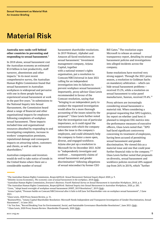### <span id="page-4-0"></span>Material Risk

### **Australia now ranks well behind other countries in preventing and responding to sexual harassment.<sup>2</sup>**

In 2018 alone, sexual harassment cost the Australian economy an estimated \$3.8 billion in lost productivity, staff turnover, absenteeism and other impacts.<sup>3</sup> In its most recent comprehensive survey, the Australian Human Rights Commission found that sexual harassment in Australian workplaces is widespread and pervasive with one in three people having experienced sexual harassment at work in the past five years. $4$  In submissions to the National Inquiry into Sexual Harrassment, the Commission heard about a range of financial and other organisational impacts for employers following complaints of workplace sexual harassment. These impacts included time and organisational resources absorbed by responding to and investigating complaints, increase in workers' compensation premiums, reputational damage and consequent impacts on attracting talent, customers and clients, as well as value to shareholders.<sup>5</sup>

Australian companies and investors would do well to take notice of trends in the United States where there are a considerable number of sexual

harassment shareholder resolutions. In 2019 Walmart, Alphabet and Amazon all faced resolutions on sexual harassment.<sup>6</sup> Investment management company, Arjuna Capital, together with a national women's rights organisation, put a resolution to Comcast/NBCUniversal in June 2021 calling for an independent investigation into its failures to prevent workplace sexual harassment.<sup>7</sup> Importantly, proxy advisor Glass Lewis recommended in favour of the Comcast resolution, saying that "bringing in an independent party to conduct the requested investigation would allow for a more thorough accounting of the issues raised by the proposal".<sup>8</sup> Glass Lewis further noted that the investigation was of particular importance, as it could signal the seriousness with which the company takes the issue to the company's employees, and could ultimately help the company to foster a more open, diverse, and engaged workforce. Arjuna also put up a resolution to Microsoft for its December 2021 AGM to "independently investigate and confront … transparently claims of sexual harassment and gender discrimination" following allegations of sexual misconduct by former CEO

Bill Gates.<sup>9</sup> The resolution urges Microsoft to release an annual transparency report, detailing its sexual harassment policies and investigations into alleged incidents across the company.

Some resolutions have received very strong support. Through the 2021 proxy season, a resolution to Goldman Sachs on mandatory arbitration – which can hide sexual harassment problems – received 53.2%, while a resolution on sexual harassment to solar panel manufacturer, Sunrun, received 59.4%.<sup>10</sup>

Proxy advisors are increasingly considering sexual harassment a material risk. When considering a proposal requesting that XPO Logistics, Inc report on whether (and how) it planned to integrate ESG metrics into the performance measures of executive officers, Glass Lewis noted that: "XPO had faced significant controversy concerning its treatment of employees, having been accused of permitting sexual harassment and gender discrimination. We viewed this as a material issue and one that could pose further financial risks to the company."<sup>11</sup> Glass Lewis further noted that proposals on diversity, sexual harassment and workforce policies received 28% support (up from 26% in 2019), which "further

<sup>8</sup>Glass Lewis, 2020 Proxy Season Review, p. 31.

<sup>2</sup>The Australian Human Rights Commission, *Respect@Work: Sexual Harassment National Inquiry Report 2020*, p. 9.

<sup>&</sup>lt;sup>3</sup>Deloitte Access Economics, *The economic costs of sexual harassment in the workplace*, 2018 [\(link](https://www2.deloitte.com/au/en/pages/economics/articles/economic-costs-sexual-harassment-workplace.html)).

<sup>4</sup>Australian Human Rights Commission, *Everyone's Business: Fourth National Survey on Sexual Harassment in Australian Workplaces*, 2018, p. 8. <sup>5</sup>The Australian Human Rights Commission, *Respect@Work: National Inquiry into Sexual Harassment in Australian Workplaces*, 2020, p. 285.

<sup>&</sup>lt;sup>6</sup>Ceres, "Adopt board oversight of workplace sexual harassment (WMT, 2019 Resolution)", 2019 [\(link](https://engagements.ceres.org/ceres_engagementdetailpage?recID=a0l1H00000BYhUMQA1)).

<sup>7</sup>Aruna Capital, "Pressure builds on Comcast/NBCUniversal after it fails to kill June 3rd Shareholder vote on workplace sexual harassment", 3 June 2021.

<sup>9</sup>BusinessWire, "Arjuna Capital Shareholder Resolution: Microsoft Needs Independent and Transparent Investigation of Gender Discrimination, Sexual Harassment", 16 June 2021.

<sup>&</sup>lt;sup>10</sup>As You Sow, "Record Breaking Year for Environmental, Social, and Sustainable Governance Shareholder Resolutions", June 2021 ([link\)](https://www.asyousow.org/press-releases/2021/6/24/record-breaking-year-for-environmental-social-and-sustainable-governance-shareholder-resolutions).  $^{11}$  Glass Lewis, 2020 Proxy Season Review: Shareholder Proposals, 2020 ( $\underline{\text{link}}$ ).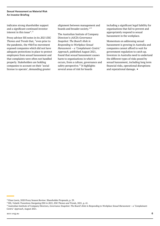### Sexual Harassment as Material Risk An Investor Briefing

indicates strong shareholder support and a significant continued investor interest in this issue".<sup>12</sup>

Proxy advisor ISS notes in its *2021 ESG Themes and Trends* that, "even prior to the pandemic, the #MeToo movement exposed companies which did not have adequate protections in place to protect employees from sexual harassment and that complaints were often not handled properly. Stakeholders are holding companies to account on their 'social license to operate', demanding greater

alignment between management and boards and broader society."<sup>13</sup>

The Australian Insitute of Company Directors's (AICD) *Governance Snapshot: The Board's Role in Responding to Workplace Sexual Harassment – a 'Complainant-Centric' Approach*, published August 2021, found that sexual harassment causes harm to organisations in which it occurs, from a culture, governance and safety perspective. $^{14}$  It highlights several areas of risk for boards

including a significant legal liability for organisations that fail to prevent and appropriately respond to sexual harassment in the workplace.

Momentum on addressing sexual harassment is growing in Australia and companies cannot afford to wait for government regulation to catch up. Investors in Australia need to undertand the different types of risks posed by sexual harassment, including long term financial risks, operational disruptions and reputational damage.  $\blacksquare$ 

<sup>&</sup>lt;sup>12</sup> Glass Lewis, 2020 Proxy Season Review: Shareholder Proposals, p. 29.

<sup>13</sup>ISS, *Volatile Transitions Navigating ESG in 2021, ESG Themes and Trends*, 2021, p. 41.

<sup>&</sup>lt;sup>14</sup> Australian Institute of Company Directors, *Governance Snapshot: The Board's Role in Responding to Workplace Sexual Harassment – a 'Complainant-Centric' Approach*, August 2021.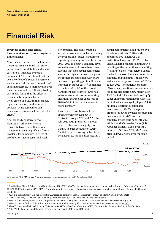### <span id="page-6-0"></span>Financial Risk

### **Investors should take sexual harassment seriously as a long-term financial risk.**

New research outlined in the Journal of Corporate Finance found that stock performance, profitablility and labour costs are all impacted by sexual harassment. The study found that the average effect of a sexual harassment scandal is significant with around 1.5% abnormal decrease in market value over the event day and the following trading day. It also found that the effect is considerably amplified by the involvement of a CEO in the scandal, high news coverage and number of accusers, while companies' selfdisclosure of misconduct mitigates the effect.<sup>15</sup>

Another study by University of Manitoba, York University and Université Laval found that sexual harassment reveals significant future problems for companies in terms of profitability, labour costs, and stock

performance. The study created a sexual harassment score by calculating the proportion of sexual harassment reports by company and year between 2011–2017 to obtain a company-level annual measure of sexual harassment. It found that high sexual harassment scores (the higher the score the poorer the rating) are associated with sharp declines in operating profitability and increases in labour costs.<sup>16</sup> Companies in the top 1% to 5% of the sexual harassment score earned lower riskadjusted stock returns, representing an annual shareholder value loss of \$0.8 to \$1.4 billion per harassmentprone company.

This type of disruption and loss appears to have played out in Australia through 2020 and 2021. In July 2020 AMP promoted its global head of infrastructure equity, Boe Pahari, to chief executive of AMP Capital despite knowing he had been penalised \$2.2 million after settling a sexual harassment claim brought by a female subordinate.<sup>17</sup> After AMP appointed Boe Pahari, CEO of institutional investor HESTA, Debbie Blakely, shared concerns about AMP's handling of the promotion commenting, "[f]ailure to align with society's values can lead to a loss of financial value for a company and this issue is taken very seriously by long-term investors".<sup>18</sup> On 16 July 2020, investment consultant JANA publicly cautioned superannuation funds against placing new money with AMP Capital.<sup>19</sup> This was followed by Q Super ending its relationship with AMP Capital, which managed QSuper's \$400 million allocation to sustainable investments.<sup>20</sup> AMP's share price dropped following investor pressure and media reports in 2020 and the company's woes continued into 2021. While the All Ordinaries Index (ASX: XAO) has gained 10.38% over the 9 months to October 2021, AMP share price is down 27.88% over the same period.<sup>21</sup>



Data source: ASX, **[AMP Share Price and Company Information](https://www2.asx.com.au/markets/company/amp)**, January 2021-12 October 2021.

<sup>&</sup>lt;sup>15</sup> Borelli-Kjaer, Mads & Schack, Laurids & Nielsson, Ulf. (2021). #MeToo: Sexual harassment and company value. Journal of Corporate Finance. 67. 101875. 10.1016/j.jcorpfin.2020.101875. The study identifies the impact of reported sexual harassment on firm value through the use of 200 unique incidents.

<sup>&</sup>lt;sup>16</sup>Au, Shiu-Yik and Dong, Ming and Tremblay, Andreanne, Employee Sexual Harassment Reviews and Firm Value (July 30, 2021).

<sup>&</sup>lt;sup>17</sup> Michael Roddan, "AMP's Boe Pahari paid a \$2.2 million penalty", *The Australian Financial Review* ([link\)](./AMP).

<sup>18</sup>Aleks Vickovich and Joanna Mather, "Big Super leans in on AMP's gender problem", *The Australian Financial Review*, 15 July 2020.

<sup>&</sup>lt;sup>19</sup> Aleks Vickovich, "Pahari fallout threatens AMP's super fund rivers of gold", *The Australian Financial Review*, 16 July 2020 [\(link\)](https://www.afr.com/companies/financial-services/pahari-fallout-threatens-amp-s-super-fund-rivers-of-gold-20200716-p55cop).

<sup>&</sup>lt;sup>20</sup> Aleks Vickovich and Michael Roddan, "QSuper yanks \$400m ethical mandate from AMP", *The Australian Financial Review*, 18 July 2020 [\(link\)](https://www.afr.com/companies/financial-services/qsuper-yanks-400m-ethical-mandate-from-amp-20200817-p55mib).  $^{21}\mathrm{ASX},$  "AMP Share Price and Company Information", accessed 12 October 2021 ( $\underline{\text{link}}$ ).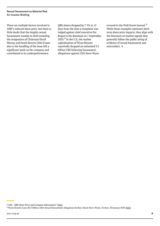### Sexual Harassment as Material Risk An Investor Briefing

There are multiple factors involved in AMP's reduced share price, but there is little doubt that the lengthy sexual harassment scandal in 2020 including the resignation of Chairman David Murray and board director John Fraser due to the handling of the issue left a significant mark on the company and contributed to its underperformance.

QBE shares dropped by 7.5% in 12 days from the time a complaint was lodged against chief executive Pat Regan to his dismissal on 1 September  $2020$ .<sup>22</sup> In the U.S, the market capitalisation of Wynn Resorts reportedly dropped an estimated 3.5 billion USD following harassment allegations against CEO Steve Wynn

covered in the Wall Street Journal.<sup>23</sup> While these examples represent short term share price impacts, they align with the literature on market signals that generally follow the public airing of evidence of sexual harassment and misconduct. ■

 $22$  ASX, "QBE Share Price and Company Information" ( $\overline{link}$ ).

<sup>&</sup>lt;sup>23</sup> Wynn Resorts Loses \$3.5 Billion After Sexual Harassment Allegations Surface About Steve Wynn, *Fortune*, 30 January 2018 ([link\)](https://finance.yahoo.com/news/wynn-resorts-loses-3-5-202640744.html).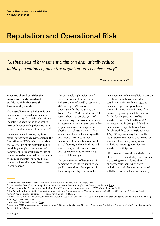### <span id="page-8-0"></span>Reputation and Operational Risk

*"A single sexual harassment claim can dramatically reduce public perceptions of an entire organization's gender equity"*

*Harvard Business Review*<sup>24</sup>

### **Investors should consider the significant reputational and workforce risks that sexual harassment presents.**

The Australian mining industry is one example where sexual harassment is presenting very clear risks. The mining industry has been in the spotlight in 2021 with serious allegations including sexual assault and rape at mine sites.<sup>25</sup>

Recent evidence to an inquiry into sexual harassment against women in the fly-in-fly-out (FIFO) industry has shown that Australian mining companies are not doing enough to prevent sexual harassment in the workplace.<sup>26</sup> 74% of women experience sexual harassment in the mining industry, but only 17% of women in Australia report harassment in workplaces.<sup>27</sup>

The extremely high incidence of sexual harassment in the mining industry are reinforced by results of a 2021 survey of 425 workers undertaken for the inquiry by the Western Mine Workers' Alliance.<sup>28</sup> The results show that despite years of unions raising concerns around sexual harassment in the industry, one in five respondents said they experienced physical sexual assault, one in five women said they had been explicitly and implicitly offered career advancement or benefits in return for sexual favours, and one in three had received requests for sexual favours and repeated invitations to engage in sexual relationships.

The pervasiveness of harassment is damaging to workforce stability and public perceptions of companies. In the mining industry, for example,

many companies have explicit targets on female participation and gender equality. Rio Tinto only managed to increase its percentage of female workers by 0.6% to 19% in 2020.<sup>29</sup> BHP has recently downgraded its ambition for the female percentage of its workforce from 50% to 40% by 2025. Fortescue Metals Group Ltd failed to meet its own target to have a 25% female workforce by 2020 (it achieved 19%).<sup>30</sup> Companies may find that the reputation of the industry as unsafe for women will seriously compromise ambitions towards greater female workforce participation.

With growing frustration with the lack of progress in the industry, more women are starting to come forward to talk publicly about their experiences including Astacia Stevens, who shared with the inquiry that she was sexually

<sup>24</sup>Harvard Business Review, *How Sexual Harassment Affects a Company's Public Image*, 2018.

<sup>25</sup>Eliza Borrello, "Sexual assault allegations at WA mine sites in Senate spotlight", *ABC News*, 19 July 2021 [\(link\)](https://www.abc.net.au/news/2021-07-19/alleged-mine-rapes-probed-by-senate/100302154).

<sup>26</sup>Western Australian Parliamentary Inquiry into Sexual Harassment against women in the FIFO Mining Industry, 2021.

<sup>27</sup>The Australian Human Rights Commission, *Respect@Work: Sexual Harassment National Inquiry Report*, 2020, p. 221; *Everyone's business: Fourth national survey on sexual harassment in Australian workplaces*, 2018, p. 5.

<sup>&</sup>lt;sup>28</sup> Western Mine Workers' Alliance submission to Western Australian Parliamentary Inquiry into Sexual Harassment against women in the FIFO Mining Industry, August 2021 [\(link\)](https://www.parliament.wa.gov.au/Parliament/commit.nsf/luInquiryPublicSubmissions/0C969DEE6E6D512848258736002C1A8A/$file/00050NoCover_Redacted.pdf).

<sup>&</sup>lt;sup>29</sup>Rio Tinto, "2020 Performance" [\(link\)](https://www.riotinto.com/en/sustainability/people).

<sup>30</sup>Joe Aston, "BHP moves goalposts on gender target", *The Australian Financial Review*, 15 September 2021 [\(link\)](https://www.afr.com/rear-window/bhp-moves-goalposts-on-gender-target-20210915-p58ry2); Fortescue Metals Group, *Sustainability Report FY 20*, p. 29 ([link\)](https://www.fmgl.com.au/docs/default-source/announcements/fy20-sustainability-report.pdf).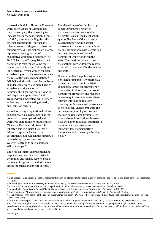harassed at both Rio Tinto and Fortescue worksites.<sup>31</sup> Sexual harassment may impact a company that is seeking to increase diversity and inclusion. People of CALD (culturally and linguistically diverse) backgrounds – particularly migrant workers, refugees or others on temporary visas – are disproportionately represented among victims of exploitative workplace practices.<sup>32</sup> The 2018 University of Sydney *Women and the Future of Work* report found that women born in Asia and Culturally and Linguistically Diverse women reported experiencing sexual harassment at twice the rate of the surveyed population. $33$ LGBTQI and Aboriginal and Torres Strait Islander workers are also more likely to experience workplace sexual harassment.<sup>34</sup> Ensuring that prevention and response is appropriate for all groups within a workplace will be key to addressing risk and meeting diversity and inclusion targets.

As well as posing a reputational risk to companies, sexual harassment has the potential to cause operational and workforce disruptions. West Australian Mines and Petroleum Minister Bill Johnston said in August 2021 that a failure to report incidents to the government could weaken the industry's case to bring overseas workers in Western Australia to ease labour and skills shortages.<sup>35</sup>

The need for improved prevention and response measures is not exclusive to the mining and finance sectors. Sexual harassment is pervasive and widespread across the public and private sectors.

The alleged rape of staffer Brittany Higgins prompted a review of parliamentary practice; a senior firefighter has launched legal action against Fire Rescue Victoria; and a government review into sexual harassment in Victorian courts found that 61 per cent of female lawyers had personally experienced sexual harassment while working in the state.<sup>36</sup> Universities have also been in the spotlight with widespread reports of sexual harassment of both students and staff.<sup>37</sup>

However, unlike the public sector and non-listed companies, investors have a financial stake in publicly listed companies. Timely reporting by ASX companies of information on sexual harassment prevention and response is necessary to ensure investors have relevant information to assess company performance and governance of these issues. Listed companies can become examples of good practice that can be replicated by non-listed companies and institutions. Investors have the ability to ask key questions to investees and can become an important force for supporting improvements in the companies they hold. ▪

<sup>31</sup>Eliza Borrello, Eliza Laschon, "Sexual harassment inquiry told female mine worker allegedly propositioned for sex at Rio Tinto, FMG", 17 September 2021 ([link\)](https://www.abc.net.au/news/2021-09-17/female-rio-tinto-fmg-worker-sexual-harassment-allegations/100471206).

<sup>32</sup>Human Rights Commission, *Respect@Work: National Inquiry into Sexual Harassment in Australian Workplaces*, p. 208.

<sup>33</sup>Marian Baird, Rae Cooper, Elizabeth Hill, Elspeth Probyn and Ariadne Vromen, *Women and the Future of Work*, 2018 [\(link\)](https://www.sydney.edu.au/content/dam/corporate/documents/business-school/research/women-work-leadership/women-and-the-future-of-work.pdf).

<sup>34</sup>Human Rights Commission, *Respect@Work: National Inquiry into Sexual Harassment in Australian Workplaces*, p. 192–200.

<sup>&</sup>lt;sup>35</sup> Brad Thompson, "Mining giants face outrage over sex crimes silence", *The Australian Financial Review*, 20 August 2021 [\(link\)](https://www.afr.com/companies/mining/mining-giants-face-outrage-over-sex-crimes-silence-20210820-p58kjc).

<sup>36</sup>Josh Bornstein, "Why change at the top will make women feel safer", *The Age*, 15 September 2021 ([link\)](https://www.theage.com.au/national/victoria/why-change-at-the-top-will-make-women-feel-safer-20210910-p58qm3.html); Review of Sexual Harassment in Victorian Courts, 2021 [\(link\)](https://www.shreview.courts.vic.gov.au/).

<sup>37</sup>"WA universities report dozens of sexual assault and harassment complaints on students and staff", *The West Australian*, 6 September 2021; The Australian Human Rights Commission conducted a national, independent survey of university students to gain greater insight into the nature, prevalence and reporting of sexual assault and sexual harassment at Australian universities.It found that around half of all university students (51%) were sexually harassed on at least one occasion in 2016.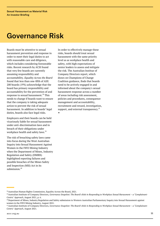### <span id="page-10-0"></span>Governance Risk

Boards must be attentive to sexual harassment prevention and response in order to meet their legal duties to act with reasonable care and diligence, which includes considering foreseeable risks. Recent research by ACSI found that very few boards are currently assuming responsibility and accountability. *Equality Across the Board* found that less than one-fifth of ASX 200 boards (19%) acknowledge that the board has primary responsibility and accountability for the prevention of and response to sexual harassment.<sup>38</sup> This needs to change if boards want to ensure that the company is taking adequate action to prevent the risk of sexual harassment. In addition to boards' legal duties, boards also face legal risks.

Employers and their boards can be held vicariously liable for sexual harassment under anti-discrimination laws and in breach of their obligations under workplace health and safety laws.<sup>39</sup>

The risk of breaching safety laws came into focus during the West Australian Inquiry into Sexual Harassment Against Women in the FIFO Mining Industry when the Department of Mines, Industry Regulation and Safety (DMIRS) highlighted reporting failures and possible breaches of the Mines Safety and Inspection (MSI) Act in its submission.<sup>40</sup>

In order to effectively manage these risks, boards should treat sexual harassment with the same priority level as as workplace health and safety, with high expectations of senior leaders to assess and mitigate the risk. The Australian Institue of Company Directors report, which draws on Champions of Change Coalition guidance, finds that boards need to be actively engaged in and informed about the company's sexual harassment response across a number of areas including risk assessment, policies and procedures, consequence management and accountability, recruitment and reward, investigation, support, and external transparency.<sup>41</sup>

▪

<sup>38</sup>Australian Human Rights Commission, Equality Across the Board, 2021.

<sup>39</sup> Australian Institute of Company Directors, *Governance Snapshot: The Board's Role in Responding to Workplace Sexual Harassment – a 'Complainant-Centric' Approach*, August 2021, p. 6.

<sup>40</sup>Department of Mines, Industry Regulation and Safety submission to Western Australian Parliamentary Inquiry into Sexual Harassment against women in the FIFO Mining Industry, August 2021.

<sup>41</sup> Australian Institute of Company Directors, *Governance Snapshot: The Board's Role in Responding to Workplace Sexual Harassment – a 'Complainant-Centric' Approach*, August 2021.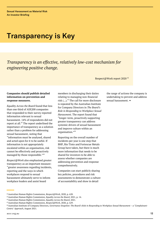### <span id="page-11-0"></span>Transparency is Key

*Transparency is an effective, relatively low-cost mechanism for engineering positive change.*

Respect@Work report 2020<sup>42</sup>

### **Companies should publish detailed information on prevention and response measures.**

*Equality Across the Board* found that less than one third of ASX200 companies that responded to their survey reported information relevant to sexual harassment. 14% of respondents did not report at all.<sup>43</sup> The report underlined the importance of transparency as a solution rather than a problem for addressing sexual harassment, noting that "information must be analysed, shared and acted upon for it to be useful. If information is not appropriately escalated within an organisation, risk cannot be effectively and proactively managed by those responsible."<sup>44</sup>

*Respect@Work* also emphasised greater transparency as an important measure: "greater awareness regarding incidents, reporting and the ways in which workplaces respond to sexual harassment ultimately serve to inform workplace leaders and assist board

members in discharging their duties relating to managing non-financial risk (...).<sup>45</sup> The call for more disclosure is repeated by the Australian Institute for Company Directors in *The Board's Role in Responding to Workplace Sexual Harassment*. The report found that "longer-term, proactively supporting greater transparency can address systemic drivers of sexual harassment and improve culture within an organisation."<sup>46</sup>

Reporting on the overall number of incidents per year is one step that BHP, Rio Tinto and Fortescue Metals Group have taken, but there is much more information that needs to be shared for investors to be able to assess whether companies are addressing prevention and response comprehensively.

Companies can start publicly sharing key policies, procedures and risk assessments to demonstrate a culture of accountability and show in detail

the range of actions the company is undertaking to prevent and address sexual harassment. ■

<sup>42</sup>Australian Human Rights Commission, *Respect@Work*, 2020, p. 628.

<sup>43</sup>Australian Human Rights Commission, *Equality Across the Board*, 2021, p. 14.

<sup>44</sup>Australian Human Rights Commission, *Equality Across the Board*, 2021.

<sup>45</sup>Australian Human Rights Commission, *Respect@Work*, 2020, p. 629.

<sup>46</sup> Australian Institute of Company Directors, *Governance Snapshot: The Board's Role in Responding to Workplace Sexual Harassment – a 'Complainant-Centric' Approach*, August 2021.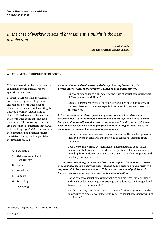### *In the case of workplace sexual harassment, sunlight is the best disinfectant*

Natasha Lamb Managing Partner, Arjuna Capital

### <span id="page-12-0"></span>WHAT COMPANIES SHOULD BE REPORTING

This section outlines key indicators that companies should publicly report against for investors.

In order to demonstrate a systematic and thorough approach to prevention and response, companies need to disclose how they are implementing the Respect@Work seven domains of change. Each domain outlines actions that companies could take in each of these areas. The following indicators are part of a set of questions that ACCR will be asking top ASX100 companies in the extractives and financial services industries. Findings will be published in the first half of 2022.

- 1. Leadership
- 2. Risk assessment and transparency
- 3. Culture
- 4. Knowledge
- 5. Support
- 6. Reporting
- 7. Measuring

### *1. Leadership—the development and display of strong leadership, that contributes to cultures that prevent workplace sexual harassment.*

- Is preventing and managing incidents and risks of sexual harassment part of Directors' responsibilities?
- Is sexual harassment treated the same as workplace health and safety at the board level with the same expectations on senior leaders to assess and mitigate risk?

*2. Risk assessment and transparency—greater focus on identifying and assessing risk, learning from past experience and transparency about sexual harassment, both within and outside of workplaces, to mitigate the risk it can pose to businesses. This can help improve understanding of these issues and encourage continuous improvement in workplaces.*

- Has the company undertaken an assessment (within the last two years) to identify drivers and hazards that may lead to sexual harassment in the company?
- Does the company share de-identified or aggregated data about sexual harassment that occurs in the workplace at periodic intervals, including providing information on what steps were taken to resolve complaints and how long this process took?

*3. Culture—the building of cultures of trust and respect, that minimise the risk of sexual harassment occurring and, if it does occur, ensure it is dealt with in a way that minimises harm to workers. This includes the role of policies and human resources practices in setting organisational culture.*

- Do the company sexual harassment policies and processes sit alongside or within a broader gender equality strategy that addresses the four gendered drivers of sexual harassment?<sup>47</sup>
- Has the company considered the experiences of different groups of workers in measures to create a workplace culture where sexual harassment will not be tolerated?

<sup>&</sup>lt;sup>47</sup> OurWatch, "The gendered drivers of violence" [\(link\)](https://www.ourwatch.org.au/the-issue/).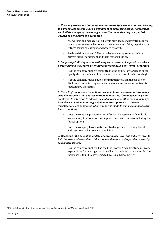*4. Knowledge—new and better approaches to workplace education and training, to demonstrate an employer's commitment to addressing sexual harassment and initiate change by developing a collective understanding of expected workplace behaviours and processes.*

- Are workers and managers at all levels provided mandatory training on how to prevent sexual harassment, how to respond if they experience or witness sexual harassment and how to report it?
- Are board directors and CEOs provided mandatory training on how to prevent sexual harassment and their responsibilities?

### *5. Support—prioritising worker wellbeing and provision of support to workers before they make a report, after they report and during any formal processes.*

- Has the company publicly committed to the ability for workers to speak openly about experiences in a manner and at a time of their choosing?
- Has the company made a public commitment to avoid the use of nondisclosure contracts in agreements unless a non-disclosure contract is requested by the victim?

*6. Reporting—increasing the options available to workers to report workplace sexual harassment and address barriers to reporting. Creating new ways for employers to intervene to address sexual harassment, other than launching a formal investigation. Adopting a victim-centred approach to the way investigations are conducted when a report is made to minimise unnecessary harm to workers.*

- Does the company provide victims of sexual harassment with multiple avenues to get information and support, and raise concerns including less formal options?
- Does the company have a victim-centred approach to the way that it addresses sexual harassment complaints?

### *7. Measuring—the collection of data at a workplace-level and industry-level to help improve understanding of the scope and nature of the problem posed by sexual harassment.*

• Has the company publicly disclosed the process (including timelines) and expectations for investigations as well as the actions that may result if an individual is found to have engaged in sexual harassment?<sup>48</sup>

<sup>48</sup> Minerals Council of Australia, *Industry Code on Eliminating Sexual Harassment*, March 2021.